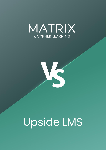



# Upside LMS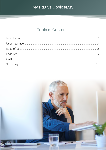### **Table of Contents**

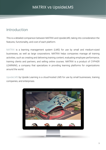### <span id="page-2-0"></span>Introduction

This is a detailed comparison between MATRIX and UpsideLMS, taking into consideration the features, functionality, and cost of each platform.

MATRIX is a learning management system (LMS) for use by small and medium-sized businesses, as well as large corporations. MATRIX helps companies manage all training activities, such as creating and delivering training content, evaluating employee performance, training clients and partners, and selling online courses. MATRIX is a product of CYPHER LEARNING, a company that specializes in providing learning platforms for organizations around the world.

UpsideLMS by Upside Learning is a cloud-hosted LMS for use by small businesses, training companies, and enterprises.

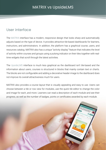### <span id="page-3-0"></span>User interface

The MATRIX interface has a modern, responsive design that looks sharp and automatically adjusts based on the type of device. It provides attractive tile-based dashboards for learners, instructors, and administrators. In addition, the platform has a graphical course, users, and resources catalog. MATRIX also has a unique "activity display" feature that indicates the level of activity within courses and groups using a pulsing indicator on their tiles together with realtime widgets that scroll through the latest activities.

The UpsideLMS interface is much less graphical as the dashboard isn't tile-based and the information about users, courses is structured in blocks that mainly contain text or charts. The blocks are not configurable and adding a decorative header image to the dashboard does not improve its overall attractiveness much for users.

MATRIX also provides a course layout that is visually appealing and easy to use. Users can choose between a tile or row view for modules, use the quick tile editor to change the color and image for each, and more. Learners can read a description of each module and see their progress, as well as the number of badges, points or certificates awarded by each module.

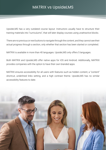UpsideLMS has a very outdated course layout. Instructors usually have to structure their training materials into "curriculums", that will later display courses using unattractive blocks.

There are no previous or next buttons to navigate through the content, and they cannot see their actual progress through a section, only whether that section has been started or completed.

MATRIX is available in more than 40 languages. UpsideLMS only offers 5 languages.

Both MATRIX and UpsideLMS offer native apps for iOS and Android. Additionally, MATRIX provides companies with the option to have their own branded apps.

MATRIX ensures accessibility for all users with features such as hidden content, a "content" shortcut, underlined links setting, and a high contrast theme. UpsideLMS has no similar accessibility features to date.

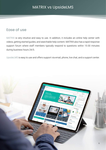### <span id="page-5-0"></span>Ease of use

MATRIX is very intuitive and easy to use. In addition, it includes an online help center with videos, getting started guides, and searchable help content. MATRIX also has a rapid response support forum where staff members typically respond to questions within 15-30 minutes during business hours 24/5.

UpsideLMS is easy to use and offers support via email, phone, live chat, and a support center.

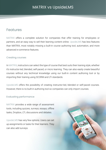### <span id="page-6-0"></span>Features

MATRIX offers a complete solution for companies that offer training for employees or partners, and an easy way to sell their learning content online. UpsideLMS has less features than MATRIX, most notably missing a built-in course authoring tool, automation, and more advanced e-commerce features.

#### Creating courses

In MATRIX, instructors can select the type of course that best suits their training style, whether it's instructor-led, blended, self-paced, or micro learning. They can also easily create beautiful courses without any technical knowledge using our built-in content authoring tool or by importing their training using SCORM and LTI standards.

UpsideLMS offers the possibility of creating instructor-led, blended or self-paced courses. However, there is no built-in authoring tool so companies can only import courses.

#### Evaluating performance

MATRIX provides a wide range of assessment tools, including quizzes, surveys, essays, offline tasks, Dropbox, LTI, discussions and debates.

UpsideLMS has very few options. Users can set up assignments or tasks for their learners. They can also add surveys.

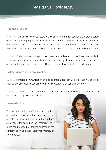#### Tracking progress

In MATRIX, analytics allows instructors to view useful information such as the overall progress of learners and the progress of individual learners through sections, modules, assessments, mastery, and more. Administrators and instructors can also create custom reports and select the data that they want to report on such as users, courses, learning paths and organizations.

UpsideLMS also has similar reports for assessments, learners, or skill tracking, but lacks important reports on site statistics, attendance, policy documents, and revenue that is generated through e-commerce. In addition, it does not have a custom reports feature.

#### Collaboration and communication

MATRIX promotes communication and collaboration between users through various tools such as chat, messages, social networking, discussion forums, blogs, and more.

UpsideLMS misses a few important communication features, including chat, a centralized resources catalog, wikis, and blogs.

#### Personalization

Through automation, MATRIX users can set up actions that should be performed when learners complete courses and learning paths, purchase a course, or fall behind on their mastery levels. Rules can be added for the major areas of the platform, such as groups, accounts, mastery, or e-commerce.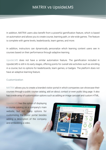In addition, MATRIX users also benefit from a powerful gamification feature, which is based on automation and allows you to create course, learning path, or site-wide games. The feature is complete with game levels, leaderboards, team games, and more.

In addition, instructors can dynamically personalize which learning content users see in courses based on their performance through adaptive learning.

UpsideLMS does not have a similar automation feature. The gamification included in UpsideLMS is still in its early stages, offering points for overall site activities such as enrolling in a course, but no options for leaderboards, team games, or badges. The platform does not have an adaptive learning feature.

#### Customization

MATRIX allows you to create a branded visitor portal in which companies can showcase their courses through a public course catalog, add an about, contact or even public blog page. It also has a wide array of customization options such as adding an image carousel and custom HTML.

UpsideLMS has the option of displaying a course catalog on a company's main website, but not many options for customizing the visitor portal besides adding a description of the company and embedding a video.

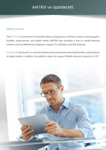#### Selling courses

The MATRIX e-commerce functionality allows companies to sell their courses, learning paths, bundles, subscriptions, and digital media. MATRIX also provides a way to market learning content, such as Mailchimp integration, support for affiliates, and SEO features.

UpsideLMS has a built-in e-commerce feature, but companies cannot sell bundles, subscriptions or digital media. In addition, the platform does not support flexible discount coupons or VAT.

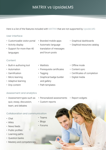Here is a list of the features included with MATRIX that are not supported by UpsideLMS:

#### User interface

- Customizable visitor portal
- Activity display
- Support for more than 40 languages
- **Content**
- Built-in authoring tool
- Automation
- Gamification
- Micro learning
- Adaptive learning
- Drip content
- Branded mobile apps
- Automatic language translation of messages and forum posts
- Graphical dashboards
- Graphical resources catalog

- Waitlists
- Prerequisite certificates
- Tagging
- Graphical badge builder and gallery
- Path templates
- Offline mode
- Content sync
- Certificates of completion
- Digital media

#### Assessment and analytics

- Assessment types such as quiz, essay, discussion, team, and debates
- Personalized assessments
- Custom reports • Report widgets
- Collaboration and communication
- Chat
- Wikis
- News feeds
- Public profiles
- Learning paths
- Question banks
- Mastery and competencies
- Teams
- Blogs
- Forums

11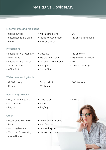### E-commerce and marketing

• Selling bundles, subscriptions and digital media

### Integrations

- Integration with your own email server
- Integration with 1,500+ apps via Zapier
- Office 365

### Web conferencing tools

- GoToTraining
- Kaltura

### Payment gateways

- PayPal Payments Pro
- Authorize.net
- PayUbiz

#### **Other**

- Resell under your own brand
- Archiving learners
- Trash can for restoring deleted items
- Affiliate marketing
- Flexible coupon codes
- Bulk discounts
- OneDrive
- Equella integration
- QTI and CCF standards
- Panopto
- CometChat
- Google Meet
- MS Teams
- PayU Latam
- Stripe
- PagSeguro
- Terms and conditions
- SEO features
- Learner help desk
- Networking of sites
- VAT
- Mailchimp integration

### • MS OneNote

- MS Immersive Reader
- $·$  Go1
- LinkedIn Learning
- GoToWebinar
- Flywire

12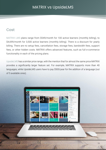### <span id="page-12-0"></span>Cost

MATRIX LMS plans range from \$549/month for 100 active learners (monthly billing), to \$4,699/month for 3,500 active learners (monthly billing). There is a discount for yearly billing. There are no setup fees, cancellation fees, storage fees, bandwidth fees, support fees, or other hidden costs. MATRIX offers advanced features, such as full e-commerce functionality in each of the pricing plans.

UpsideLMS has a similar price range, with the mention that for almost the same price MATRIX provides a significantly larger feature set. For example, MATRIX supports more than 40 languages, while UpsideLMS users have to pay \$500/year for the addition of a language (out of 5 available ones).